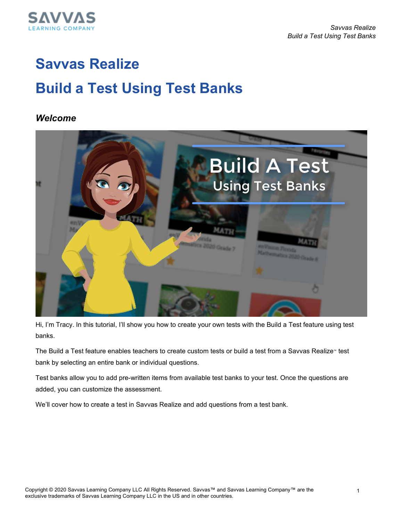

# **Savvas Realize Build a Test Using Test Banks**

#### *Welcome*



Hi, I'm Tracy. In this tutorial, I'll show you how to create your own tests with the Build a Test feature using test banks.

The Build a Test feature enables teachers to create custom tests or build a test from a Savvas Realize™ test bank by selecting an entire bank or individual questions.

Test banks allow you to add pre-written items from available test banks to your test. Once the questions are added, you can customize the assessment.

We'll cover how to create a test in Savvas Realize and add questions from a test bank.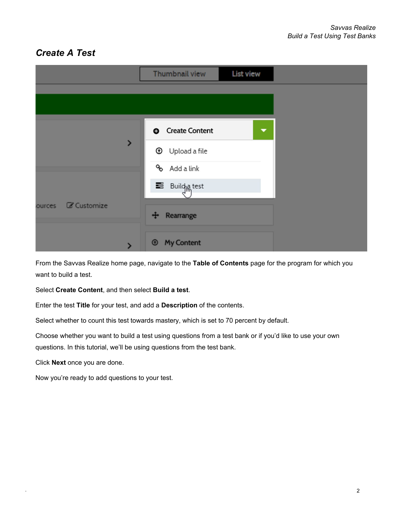# *Create A Test*

|                       | List view<br>Thumbnail view         |  |
|-----------------------|-------------------------------------|--|
|                       |                                     |  |
|                       |                                     |  |
|                       | <b>O</b> Create Content<br>▼        |  |
| >                     | <b>1</b> Upload a file              |  |
|                       | % Add a link                        |  |
|                       | Build <sub>le</sub> test            |  |
| C Customize<br>ources | Rearrange<br>$\ddot{\textbf{r}}$    |  |
|                       | <b>My Content</b><br>$\circledcirc$ |  |

From the Savvas Realize home page, navigate to the **Table of Contents** page for the program for which you want to build a test.

Select **Create Content**, and then select **Build a test**.

Enter the test **Title** for your test, and add a **Description** of the contents.

Select whether to count this test towards mastery, which is set to 70 percent by default.

Choose whether you want to build a test using questions from a test bank or if you'd like to use your own questions. In this tutorial, we'll be using questions from the test bank.

Click **Next** once you are done.

Now you're ready to add questions to your test.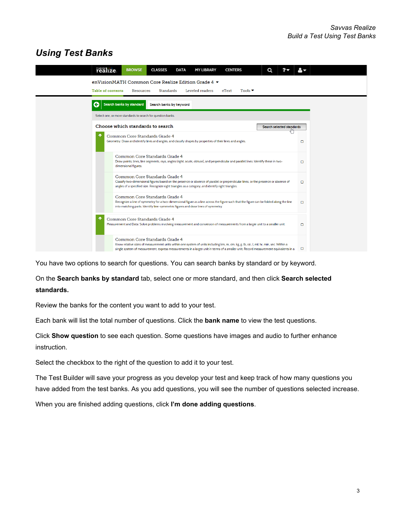### *Using Test Banks*

| realize.<br><b>BROWSE</b><br><b>CLASSES</b><br><b>MY LIBRARY</b><br><b>CENTERS</b><br>Q<br><b>DATA</b>                                                                                                                                                                                                         |        |  |
|----------------------------------------------------------------------------------------------------------------------------------------------------------------------------------------------------------------------------------------------------------------------------------------------------------------|--------|--|
| enVisionMATH Common Core Realize Edition Grade 4 ▼<br>Table of contents<br>Resources<br>Standards<br>Leveled readers<br>Tools $\blacktriangledown$<br>eText                                                                                                                                                    |        |  |
| Search banks by standard<br>G<br>Search banks by keyword<br>Select one, or more standards to search for question banks.                                                                                                                                                                                        |        |  |
| Choose which standards to search<br>Search selected standards<br>÷<br>Common Core Standards Grade 4                                                                                                                                                                                                            |        |  |
| Geometry: Draw and identify lines and angles, and classify shapes by properties of their lines and angles.<br>Common Core Standards Grade 4                                                                                                                                                                    | O      |  |
| Draw points, lines, line segments, rays, angles (right, acute, obtuse), and perpendicular and parallel lines. Identify these in two-<br>dimensional figures.                                                                                                                                                   | O      |  |
| Common Core Standards Grade 4<br>Classify two-dimensional figures based on the presence or absence of parallel or perpendicular lines, or the presence or absence of<br>angles of a specified size. Recognize right triangles as a category, and identify right triangles.                                     | $\Box$ |  |
| Common Core Standards Grade 4<br>Recognize a line of symmetry for a two-dimensional figure as a line across the figure such that the figure can be folded along the line<br>into matching parts. Identify line-symmetric figures and draw lines of symmetry.                                                   | O      |  |
| Common Core Standards Grade 4<br>Measurement and Data: Solve problems involving measurement and conversion of measurements from a larger unit to a smaller unit.                                                                                                                                               | O      |  |
| Common Core Standards Grade 4<br>Know relative sizes of measurement units within one system of units including km, m, cm; kg, g; lb, oz.; l, ml; hr, min, sec. Within a<br>single system of measurement, express measurements in a larger unit in terms of a smaller unit. Record measurement equivalents in a | о      |  |

You have two options to search for questions. You can search banks by standard or by keyword.

On the **Search banks by standard** tab, select one or more standard, and then click **Search selected standards.**

Review the banks for the content you want to add to your test.

Each bank will list the total number of questions. Click the **bank name** to view the test questions.

Click **Show question** to see each question. Some questions have images and audio to further enhance instruction.

Select the checkbox to the right of the question to add it to your test.

The Test Builder will save your progress as you develop your test and keep track of how many questions you have added from the test banks. As you add questions, you will see the number of questions selected increase.

When you are finished adding questions, click **I'm done adding questions**.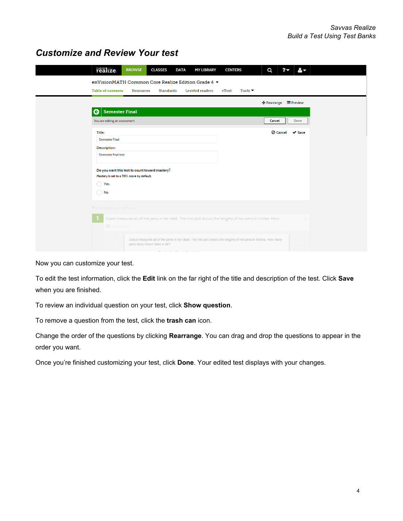#### *Customize and Review Your test*

| realize.                                  | <b>BROWSE</b>                                                                                          | <b>CLASSES</b>                                 | <b>DATA</b> | <b>MY LIBRARY</b>                                                                                           | <b>CENTERS</b> |                            | Q                     | ?                      | $\mathbf{A}$ |
|-------------------------------------------|--------------------------------------------------------------------------------------------------------|------------------------------------------------|-------------|-------------------------------------------------------------------------------------------------------------|----------------|----------------------------|-----------------------|------------------------|--------------|
|                                           |                                                                                                        |                                                |             | enVisionMATH Common Core Realize Edition Grade 4 ▼                                                          |                |                            |                       |                        |              |
| Table of contents                         | Resources                                                                                              | <b>Standards</b>                               |             | Leveled readers                                                                                             | eText          | Tools $\blacktriangledown$ |                       |                        |              |
|                                           |                                                                                                        |                                                |             |                                                                                                             |                |                            | + Rearrange E Preview |                        |              |
| <b>Semester Final</b><br>G                |                                                                                                        |                                                |             |                                                                                                             |                |                            |                       |                        |              |
| You are editing an assessment.            |                                                                                                        |                                                |             |                                                                                                             |                |                            | Cancel                |                        | Done         |
| Title:                                    |                                                                                                        |                                                |             |                                                                                                             |                |                            |                       | <b><i>O</i></b> Cancel | $\vee$ Save  |
| <b>Semester Final</b>                     |                                                                                                        |                                                |             |                                                                                                             |                |                            |                       |                        |              |
| Description:                              |                                                                                                        |                                                |             |                                                                                                             |                |                            |                       |                        |              |
| Semester final test                       |                                                                                                        |                                                |             |                                                                                                             |                |                            |                       |                        |              |
|                                           |                                                                                                        | Do you want this test to count toward mastery? |             |                                                                                                             |                |                            |                       |                        |              |
| Mastery is set to a 70% score by default. |                                                                                                        |                                                |             |                                                                                                             |                |                            |                       |                        |              |
| Yes<br>()                                 |                                                                                                        |                                                |             |                                                                                                             |                |                            |                       |                        |              |
| $\bigcirc$ No                             |                                                                                                        |                                                |             |                                                                                                             |                |                            |                       |                        |              |
| + Add items from test bank                |                                                                                                        |                                                |             |                                                                                                             |                |                            |                       |                        |              |
|                                           | Grace measures all of the pens in her desk. The line plot shows the lengths of her pens in inches. How |                                                |             |                                                                                                             |                |                            |                       |                        |              |
|                                           | <b>E</b> Hide question                                                                                 |                                                |             |                                                                                                             |                |                            |                       |                        |              |
|                                           |                                                                                                        |                                                |             | Grace measures all of the pens in her desk. The line plot shows the lengths of her pens in inches. How many |                |                            |                       |                        |              |
|                                           |                                                                                                        | pens does Grace have in all?                   |             |                                                                                                             |                |                            |                       |                        |              |

Now you can customize your test.

To edit the test information, click the **Edit** link on the far right of the title and description of the test. Click **Save** when you are finished.

To review an individual question on your test, click **Show question**.

To remove a question from the test, click the **trash can** icon.

Change the order of the questions by clicking **Rearrange**. You can drag and drop the questions to appear in the order you want.

Once you're finished customizing your test, click **Done**. Your edited test displays with your changes.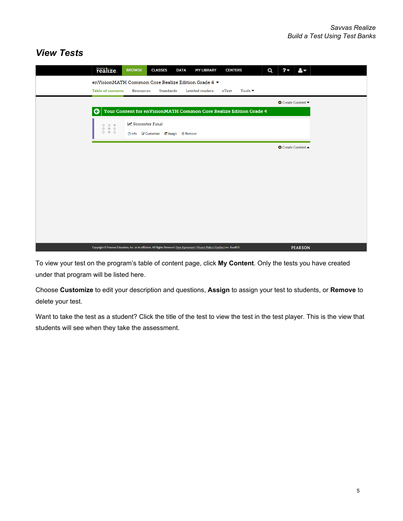# *View Tests*

|                                                                          | realize.                                                                                                                             | <b>BROWSE</b>  | <b>CLASSES</b>                       | <b>DATA</b> | <b>MY LIBRARY</b> | <b>CENTERS</b> |                            | Q | $2-$                      | $\mathbf{A}$   |  |
|--------------------------------------------------------------------------|--------------------------------------------------------------------------------------------------------------------------------------|----------------|--------------------------------------|-------------|-------------------|----------------|----------------------------|---|---------------------------|----------------|--|
|                                                                          | enVisionMATH Common Core Realize Edition Grade 4 ▼<br>Table of contents                                                              | Resources      | <b>Standards</b>                     |             | Leveled readers   | eText          | Tools $\blacktriangledown$ |   |                           |                |  |
|                                                                          |                                                                                                                                      |                |                                      |             |                   |                |                            |   | <b>O</b> Create Content   |                |  |
| l G<br>Your Content for enVisionMATH Common Core Realize Edition Grade 4 |                                                                                                                                      |                |                                      |             |                   |                |                            |   |                           |                |  |
|                                                                          |                                                                                                                                      | Semester Final | □ Info ■ Customize ■ Assign ■ Remove |             |                   |                |                            |   |                           |                |  |
|                                                                          |                                                                                                                                      |                |                                      |             |                   |                |                            |   | <b>O</b> Create Content ▲ |                |  |
|                                                                          |                                                                                                                                      |                |                                      |             |                   |                |                            |   |                           |                |  |
|                                                                          |                                                                                                                                      |                |                                      |             |                   |                |                            |   |                           |                |  |
|                                                                          |                                                                                                                                      |                |                                      |             |                   |                |                            |   |                           |                |  |
|                                                                          |                                                                                                                                      |                |                                      |             |                   |                |                            |   |                           |                |  |
|                                                                          |                                                                                                                                      |                |                                      |             |                   |                |                            |   |                           |                |  |
|                                                                          |                                                                                                                                      |                |                                      |             |                   |                |                            |   |                           |                |  |
|                                                                          |                                                                                                                                      |                |                                      |             |                   |                |                            |   |                           |                |  |
|                                                                          |                                                                                                                                      |                |                                      |             |                   |                |                            |   |                           |                |  |
|                                                                          | Copyright © Pearson Education, Inc. or its affiliates. All Rights Reserved. User Agreement   Privacy Policy   Credits   rev. 8aadf35 |                |                                      |             |                   |                |                            |   |                           | <b>PEARSON</b> |  |

To view your test on the program's table of content page, click **My Content**. Only the tests you have created under that program will be listed here.

Choose **Customize** to edit your description and questions, **Assign** to assign your test to students, or **Remove** to delete your test.

Want to take the test as a student? Click the title of the test to view the test in the test player. This is the view that students will see when they take the assessment.